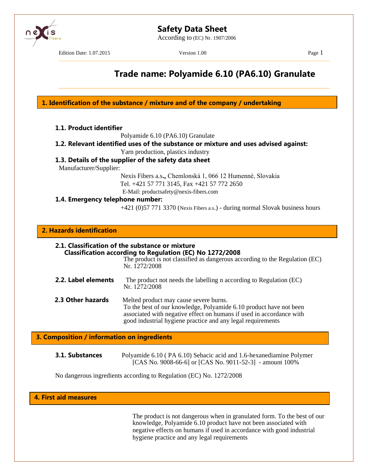

According to (EC) Nr. 1907/2006

–––––––––––––––––––––––––––––––––––––––––––––––––––––––––––––––––––––––––––––––––––

\_\_\_\_\_\_\_\_\_\_\_\_\_\_\_\_\_\_\_\_\_\_\_\_\_\_\_\_\_\_\_\_\_\_\_\_\_\_\_\_\_\_\_\_\_\_\_\_\_\_\_\_\_\_\_\_\_\_\_\_\_\_\_\_\_\_\_\_\_\_\_\_\_\_\_\_\_\_\_\_\_\_\_

Edition Date: 1.07.2015 Version 1.00 Page 1

# **Trade name: Polyamide 6.10 (PA6.10) Granulate**

**1. Identification of the substance / mixture and of the company / undertaking**

Polyamide 6.10 (PA6.10) Granulate

**1.2. Relevant identified uses of the substance or mixture and uses advised against:**

Yarn production, plastics industry

## **1.3. Details of the supplier of the safety data sheet**

Manufacturer/Supplier:

Nexis Fibers a.s**.,** Chemlonská 1, 066 12 Humenné, Slovakia Tel. +421 57 771 3145, Fax +421 57 772 2650

E-Mail: productsafety@nexis-fibers.com **1.4. Emergency telephone number:**

+421 (0)57 771 3370 (Nexis Fibers a.s.) - during normal Slovak business hours

## **2. Hazards identification**

| 2.1. Classification of the substance or mixture<br><b>Classification according to Regulation (EC) No 1272/2008</b><br>The product is not classified as dangerous according to the Regulation (EC)<br>Nr. 1272/2008 |                                                                                                                                                                                                                                                     |  |
|--------------------------------------------------------------------------------------------------------------------------------------------------------------------------------------------------------------------|-----------------------------------------------------------------------------------------------------------------------------------------------------------------------------------------------------------------------------------------------------|--|
| 2.2. Label elements                                                                                                                                                                                                | The product not needs the labelling n according to Regulation (EC)<br>Nr. 1272/2008                                                                                                                                                                 |  |
| 2.3 Other hazards                                                                                                                                                                                                  | Melted product may cause severe burns.<br>To the best of our knowledge, Polyamide 6.10 product have not been<br>associated with negative effect on humans if used in accordance with<br>good industrial hygiene practice and any legal requirements |  |

## **3. Composition / information on ingredients**

| 3.1. Substances | Polyamide 6.10 (PA 6.10) Sebacic acid and 1.6-hexanediamine Polymer |
|-----------------|---------------------------------------------------------------------|
|                 | [CAS No. 9008-66-6] or [CAS No. 9011-52-3] - amount 100%            |

No dangerous ingredients according to Regulation (EC) No. 1272/2008

## **4. First aid measures**

The product is not dangerous when in granulated form. To the best of our knowledge, Polyamide 6.10 product have not been associated with negative effects on humans if used in accordance with good industrial hygiene practice and any legal requirements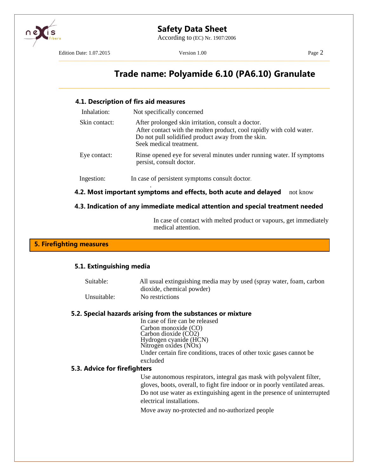

According to (EC) Nr. 1907/2006

Edition Date: 1.07.2015 Version 1.00 Page 2

–––––––––––––––––––––––––––––––––––––––––––––––––––––––––––––––––––––––––––––––––––

\_\_\_\_\_\_\_\_\_\_\_\_\_\_\_\_\_\_\_\_\_\_\_\_\_\_\_\_\_\_\_\_\_\_\_\_\_\_\_\_\_\_\_\_\_\_\_\_\_\_\_\_\_\_\_\_\_\_\_\_\_\_\_\_\_\_\_\_\_\_\_\_\_\_\_\_\_\_\_\_\_\_\_

# **Trade name: Polyamide 6.10 (PA6.10) Granulate**

#### **4.1. Description of firs aid measures**

| Inhalation:   | Not specifically concerned                                                                                                                                                                                  |
|---------------|-------------------------------------------------------------------------------------------------------------------------------------------------------------------------------------------------------------|
| Skin contact: | After prolonged skin irritation, consult a doctor.<br>After contact with the molten product, cool rapidly with cold water.<br>Do not pull solidified product away from the skin.<br>Seek medical treatment. |
| Eye contact:  | Rinse opened eye for several minutes under running water. If symptoms<br>persist, consult doctor.                                                                                                           |
| Ingestion:    | In case of persistent symptoms consult doctor.                                                                                                                                                              |
|               | 4.2. Most important symptoms and effects, both acute and delayed<br>not know                                                                                                                                |

### **4.3. Indication of any immediate medical attention and special treatment needed**

In case of contact with melted product or vapours, get immediately medical attention.

### **5. Firefighting measures**

#### **5.1. Extinguishing media**

Suitable: All usual extinguishing media may by used (spray water, foam, carbon dioxide, chemical powder) Unsuitable: No restrictions

#### **5.2. Special hazards arising from the substances or mixture**

In case of fire can be released Carbon monoxide (CO) Carbon dioxide (CO2) Hydrogen cyanide (HCN) Nitrogen oxides (NOx) Under certain fire conditions, traces of other toxic gases cannot be excluded

### **5.3. Advice for firefighters**

Use autonomous respirators, integral gas mask with polyvalent filter, gloves, boots, overall, to fight fire indoor or in poorly ventilated areas. Do not use water as extinguishing agent in the presence of uninterrupted electrical installations.

Move away no-protected and no-authorized people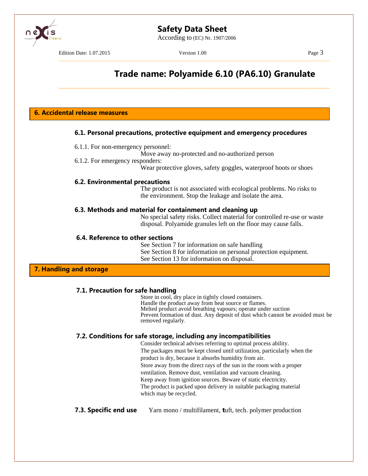According to (EC) Nr. 1907/2006



Edition Date: 1.07.2015 Version 1.00 Page 3

–––––––––––––––––––––––––––––––––––––––––––––––––––––––––––––––––––––––––––––––––––

\_\_\_\_\_\_\_\_\_\_\_\_\_\_\_\_\_\_\_\_\_\_\_\_\_\_\_\_\_\_\_\_\_\_\_\_\_\_\_\_\_\_\_\_\_\_\_\_\_\_\_\_\_\_\_\_\_\_\_\_\_\_\_\_\_\_\_\_\_\_\_\_\_\_\_\_\_\_\_\_\_\_\_

# **Trade name: Polyamide 6.10 (PA6.10) Granulate**

**6. Accidental release measures**

### **6.1. Personal precautions, protective equipment and emergency procedures**

- 6.1.1. For non-emergency personnel:
	- Move away no-protected and no-authorized person
- 6.1.2. For emergency responders:

Wear protective gloves, safety goggles, waterproof boots or shoes

### **6.2. Environmental precautions**

The product is not associated with ecological problems. No risks to the environment. Stop the leakage and isolate the area.

#### **6.3. Methods and material for containment and cleaning up**

No special safety risks. Collect material for controlled re-use or waste disposal. Polyamide granules left on the floor may cause falls.

#### **6.4. Reference to other sections**

See Section 7 for information on safe handling See Section 8 for information on personal protection equipment. See Section 13 for information on disposal.

## **7. Handling and storage**

## **7.1. Precaution for safe handling**

Store in cool, dry place in tightly closed containers. Handle the product away from heat source or flames. Melted product avoid breathing vapours; operate under suction Prevent formation of dust. Any deposit of dust which cannot be avoided must be removed regularly*.*

## **7.2. Conditions for safe storage, including any incompatibilities**

Consider technical advises referring to optimal process ability. The packages must be kept closed until utilization, particularly when the product is dry, because it absorbs humidity from air. Store away from the direct rays of the sun in the room with a proper ventilation. Remove dust, ventilation and vacuum cleaning. Keep away from ignition sources. Beware of static electricity. The product is packed upon delivery in suitable packaging material which may be recycled.

## **7.3. Specific end use** Yarn mono / multifilament, **t**uft, tech. polymer production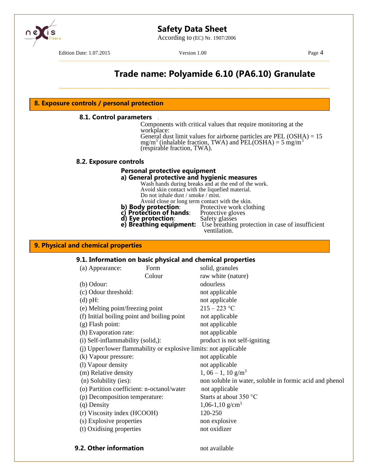

According to (EC) Nr. 1907/2006

Edition Date: 1.07.2015 Version 1.00 Page 4

–––––––––––––––––––––––––––––––––––––––––––––––––––––––––––––––––––––––––––––––––––

\_\_\_\_\_\_\_\_\_\_\_\_\_\_\_\_\_\_\_\_\_\_\_\_\_\_\_\_\_\_\_\_\_\_\_\_\_\_\_\_\_\_\_\_\_\_\_\_\_\_\_\_\_\_\_\_\_\_\_\_\_\_\_\_\_\_\_\_\_\_\_\_\_\_\_\_\_\_\_\_\_\_\_

# **Trade name: Polyamide 6.10 (PA6.10) Granulate**

#### **8. Exposure controls / personal protection**

#### **8.1. Control parameters** *.*

Components with critical values that require monitoring at the workplace:

General dust limit values for airborne particles are PEL  $(OSHA) = 15$  $mg/m<sup>3</sup>$  (inhalable fraction, TWA) and PEL(OSHA) = 5 mg/m<sup>3</sup> (respirable fraction, TWA).

#### **8.2. Exposure controls**

#### **Personal protective equipment**

### **a) General protective and hygienic measures**

Wash hands during breaks and at the end of the work. Avoid skin contact with the liquefied material. Do not inhale dust / smoke / mist.

Avoid close or long term contact with the skin.<br>**y protection**: Protective work clothing

- **b) Body protection:** Protective work clothing
- **c) Protection of hands**: Protective gloves **c) Protection of hands**: Protective gloves **d) Eye protection**: Safety glasses
	-
- **e) Breathing equipment:** Use breathing protection in case of insufficient
	- ventilation.

#### **9. Physical and chemical properties**

#### **9.1. Information on basic physical and chemical properties**

| (a) Appearance:                             | Form                                                             | solid, granules                                         |
|---------------------------------------------|------------------------------------------------------------------|---------------------------------------------------------|
|                                             | Colour                                                           | raw white (nature)                                      |
| (b) Odour:                                  |                                                                  | odourless                                               |
| (c) Odour threshold:                        |                                                                  | not applicable                                          |
| $(d)$ pH:                                   |                                                                  | not applicable                                          |
| (e) Melting point/freezing point            |                                                                  | $215 - 223$ °C                                          |
| (f) Initial boiling point and boiling point |                                                                  | not applicable                                          |
| (g) Flash point:                            |                                                                  | not applicable                                          |
| (h) Evaporation rate:                       |                                                                  | not applicable                                          |
| (i) Self-inflammability (solid,):           |                                                                  | product is not self-igniting                            |
|                                             | (j) Upper/lower flammability or explosive limits: not applicable |                                                         |
| (k) Vapour pressure:                        |                                                                  | not applicable                                          |
| (l) Vapour density                          |                                                                  | not applicable                                          |
| (m) Relative density                        |                                                                  | $1,06-1,10 \text{ g/m}^3$                               |
| (n) Solubility (ies):                       |                                                                  | non soluble in water, soluble in formic acid and phenol |
| (o) Partition coefficient: n-octanol/water  |                                                                  | not applicable                                          |
| (p) Decomposition temperature:              |                                                                  | Starts at about $350^{\circ}$ C                         |
| (q) Density                                 |                                                                  | 1,06-1,10 $g/cm3$                                       |
| (r) Viscosity index (HCOOH)                 |                                                                  | 120-250                                                 |
| (s) Explosive properties                    |                                                                  | non explosive                                           |
| (t) Oxidising properties                    |                                                                  | not oxidizer                                            |
|                                             |                                                                  |                                                         |
|                                             |                                                                  |                                                         |

#### **9.2. Other information** not available

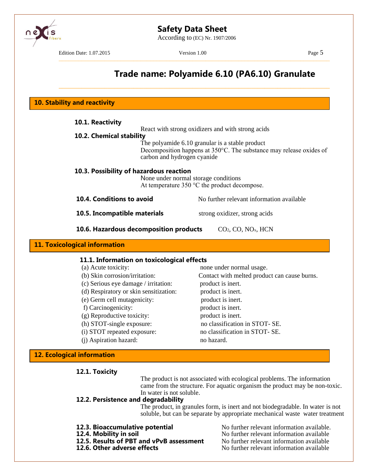According to (EC) Nr. 1907/2006



**11. Toxic** 

Edition Date: 1.07.2015 Version 1.00 Page 5

–––––––––––––––––––––––––––––––––––––––––––––––––––––––––––––––––––––––––––––––––––

\_\_\_\_\_\_\_\_\_\_\_\_\_\_\_\_\_\_\_\_\_\_\_\_\_\_\_\_\_\_\_\_\_\_\_\_\_\_\_\_\_\_\_\_\_\_\_\_\_\_\_\_\_\_\_\_\_\_\_\_\_\_\_\_\_\_\_\_\_\_\_\_\_\_\_\_\_\_\_\_\_\_\_

# **Trade name: Polyamide 6.10 (PA6.10) Granulate**

**10. Stability and reactivity**

| 10.1. Reactivity                                                                                                                         | React with strong oxidizers and with strong acids                                                                                |  |  |  |  |
|------------------------------------------------------------------------------------------------------------------------------------------|----------------------------------------------------------------------------------------------------------------------------------|--|--|--|--|
| 10.2. Chemical stability                                                                                                                 |                                                                                                                                  |  |  |  |  |
| carbon and hydrogen cyanide                                                                                                              | The polyamide 6.10 granular is a stable product<br>Decomposition happens at $350^{\circ}$ C. The substance may release oxides of |  |  |  |  |
| 10.3. Possibility of hazardous reaction<br>None under normal storage conditions<br>At temperature $350^{\circ}$ C the product decompose. |                                                                                                                                  |  |  |  |  |
| 10.4. Conditions to avoid                                                                                                                | No further relevant information available                                                                                        |  |  |  |  |
| 10.5. Incompatible materials                                                                                                             | strong oxidizer, strong acids                                                                                                    |  |  |  |  |
| 10.6. Hazardous decomposition products<br>$CO2$ , $CO$ , $NOx$ , $HCN$                                                                   |                                                                                                                                  |  |  |  |  |
| ological information                                                                                                                     |                                                                                                                                  |  |  |  |  |
| 11.1. Information on toxicological effects                                                                                               |                                                                                                                                  |  |  |  |  |
| (a) Acute toxicity:                                                                                                                      | none under normal usage.                                                                                                         |  |  |  |  |
| (b) Skin corrosion/irritation:                                                                                                           | Contact with melted product can cause burns.                                                                                     |  |  |  |  |
| (c) Serious eye damage / irritation:                                                                                                     | product is inert.                                                                                                                |  |  |  |  |

- 
- (d) Respiratory or skin sensitization: product is inert.
- 
- 
- 
- 
- 
- (e) Germ cell mutagenicity: product is inert. f) Carcinogenicity: product is inert. (g) Reproductive toxicity: product is inert. (h) STOT-single exposure: no classification in STOT- SE. (i) STOT repeated exposure: no classification in STOT- SE. (j) Aspiration hazard: no hazard.

## **12. Ecological information**

## **12.1. Toxicity**

The product is not associated with ecological problems. The information came from the structure. For aquatic organism the product may be non-toxic. In water is not soluble.

## **12.2. Persistence and degradability**

The product, in granules form, is inert and not biodegradable. In water is not soluble, but can be separate by appropriate mechanical waste water treatment

- 
- 
- 
- 

**12.3. Bioaccumulative potential** No further relevant information available.<br>**12.4. Mobility in soil** No further relevant information available No further relevant information available **12.5. Results of PBT and vPvB assessment** No further relevant information available **12.6. Other adverse effects** No further relevant information available **12.6. Other adverse effects** No further relevant information available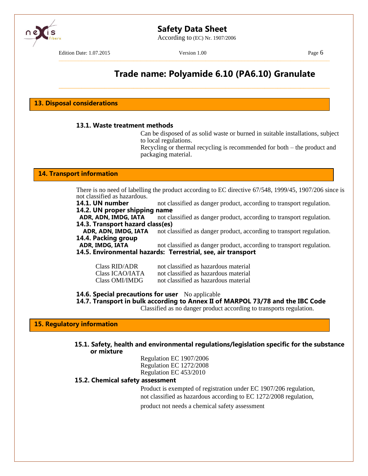According to (EC) Nr. 1907/2006

Edition Date: 1.07.2015 Version 1.00 Page 6

–––––––––––––––––––––––––––––––––––––––––––––––––––––––––––––––––––––––––––––––––––

\_\_\_\_\_\_\_\_\_\_\_\_\_\_\_\_\_\_\_\_\_\_\_\_\_\_\_\_\_\_\_\_\_\_\_\_\_\_\_\_\_\_\_\_\_\_\_\_\_\_\_\_\_\_\_\_\_\_\_\_\_\_\_\_\_\_\_\_\_\_\_\_\_\_\_\_\_\_\_\_\_\_\_

# **Trade name: Polyamide 6.10 (PA6.10) Granulate**

**13. Disposal considerations**

#### **13.1. Waste treatment methods**

Can be disposed of as solid waste or burned in suitable installations, subject to local regulations.

Recycling or thermal recycling is recommended for both – the product and packaging material.

#### **14. Transport information**

There is no need of labelling the product according to EC directive 67/548, 1999/45, 1907/206 since is not classified as hazardous.

**14.1. UN number** not classified as danger product, according to transport regulation. **14.2. UN proper shipping name**

**ADR, ADN, IMDG, IATA** not classified as danger product, according to transport regulation. **14.3. Transport hazard class(es)**

**ADR, ADN, IMDG, IATA** not classified as danger product, according to transport regulation. **14.4. Packing group**

**ADR, IMDG, IATA** not classified as danger product, according to transport regulation.

**14.5. Environmental hazards: Terrestrial, see, air transport**

| Class RID/ADR   | not classified as hazardous material |
|-----------------|--------------------------------------|
| Class ICAO/IATA | not classified as hazardous material |
| Class OMI/IMDG  | not classified as hazardous material |

#### **14.6. Special precautions for user** No applicable

**14.7. Transport in bulk according to Annex II of MARPOL 73/78 and the IBC Code**

Classified as no danger product according to transports regulation.

**15. Regulatory information**

**15.1. Safety, health and environmental regulations/legislation specific for the substance or mixture**

> Regulation EC 1907/2006 Regulation EC 1272/2008 Regulation EC 453/2010

#### **15.2. Chemical safety assessment**

Product is exempted of registration under EC 1907/206 regulation, not classified as hazardous according to EC 1272/2008 regulation, product not needs a chemical safety assessment